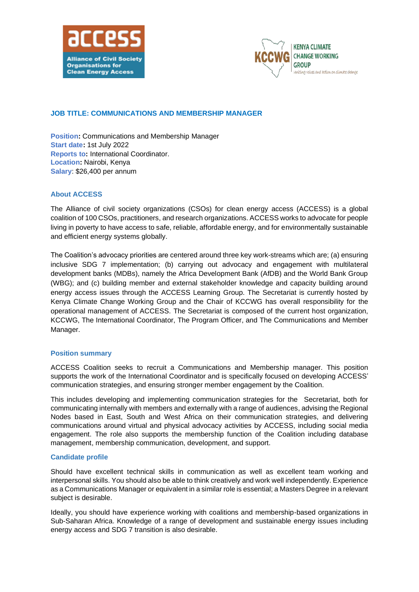



# **JOB TITLE: COMMUNICATIONS AND MEMBERSHIP MANAGER**

**Position:** Communications and Membership Manager **Start date:** 1st July 2022 **Reports to:** International Coordinator. **Location:** Nairobi, Kenya **Salary**: \$26,400 per annum

## **About ACCESS**

The Alliance of civil society organizations (CSOs) for clean energy access (ACCESS) is a global coalition of 100 CSOs, practitioners, and research organizations. ACCESS works to advocate for people living in poverty to have access to safe, reliable, affordable energy, and for environmentally sustainable and efficient energy systems globally.

The Coalition's advocacy priorities are centered around three key work-streams which are; (a) ensuring inclusive SDG 7 implementation; (b) carrying out advocacy and engagement with multilateral development banks (MDBs), namely the Africa Development Bank (AfDB) and the World Bank Group (WBG); and (c) building member and external stakeholder knowledge and capacity building around energy access issues through the ACCESS Learning Group. The Secretariat is currently hosted by Kenya Climate Change Working Group and the Chair of KCCWG has overall responsibility for the operational management of ACCESS. The Secretariat is composed of the current host organization, KCCWG, The International Coordinator, The Program Officer, and The Communications and Member Manager.

## **Position summary**

ACCESS Coalition seeks to recruit a Communications and Membership manager. This position supports the work of the International Coordinator and is specifically focused on developing ACCESS' communication strategies, and ensuring stronger member engagement by the Coalition.

This includes developing and implementing communication strategies for the Secretariat, both for communicating internally with members and externally with a range of audiences, advising the Regional Nodes based in East, South and West Africa on their communication strategies, and delivering communications around virtual and physical advocacy activities by ACCESS, including social media engagement. The role also supports the membership function of the Coalition including database management, membership communication, development, and support.

#### **Candidate profile**

Should have excellent technical skills in communication as well as excellent team working and interpersonal skills. You should also be able to think creatively and work well independently. Experience as a Communications Manager or equivalentin asimilar role is essential; a Masters Degree in a relevant subject is desirable.

Ideally, you should have experience working with coalitions and membership-based organizations in Sub-Saharan Africa. Knowledge of a range of development and sustainable energy issues including energy access and SDG 7 transition is also desirable.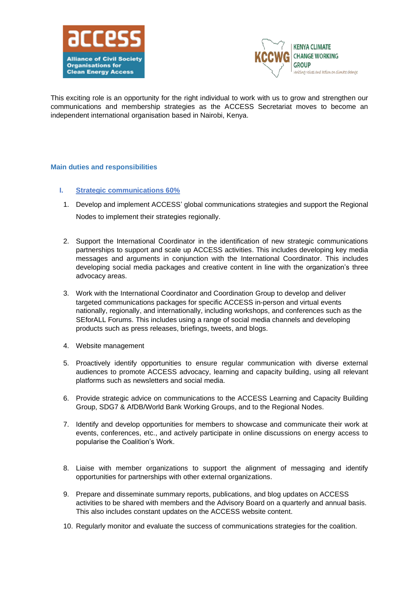



This exciting role is an opportunity for the right individual to work with us to grow and strengthen our communications and membership strategies as the ACCESS Secretariat moves to become an independent international organisation based in Nairobi, Kenya.

#### **Main duties and responsibilities**

- **I. Strategic communications 60%**
- 1. Develop and implement ACCESS' global communications strategies and support the Regional Nodes to implement their strategies regionally.
- 2. Support the International Coordinator in the identification of new strategic communications partnerships to support and scale up ACCESS activities. This includes developing key media messages and arguments in conjunction with the International Coordinator. This includes developing social media packages and creative content in line with the organization's three advocacy areas.
- 3. Work with the International Coordinator and Coordination Group to develop and deliver targeted communications packages for specific ACCESS in-person and virtual events nationally, regionally, and internationally, including workshops, and conferences such as the SEforALL Forums. This includes using a range of social media channels and developing products such as press releases, briefings, tweets, and blogs.
- 4. Website management
- 5. Proactively identify opportunities to ensure regular communication with diverse external audiences to promote ACCESS advocacy, learning and capacity building, using all relevant platforms such as newsletters and social media.
- 6. Provide strategic advice on communications to the ACCESS Learning and Capacity Building Group, SDG7 & AfDB/World Bank Working Groups, and to the Regional Nodes.
- 7. Identify and develop opportunities for members to showcase and communicate their work at events, conferences, etc., and actively participate in online discussions on energy access to popularise the Coalition's Work.
- 8. Liaise with member organizations to support the alignment of messaging and identify opportunities for partnerships with other external organizations.
- 9. Prepare and disseminate summary reports, publications, and blog updates on ACCESS activities to be shared with members and the Advisory Board on a quarterly and annual basis. This also includes constant updates on the ACCESS website content.
- 10. Regularly monitor and evaluate the success of communications strategies for the coalition.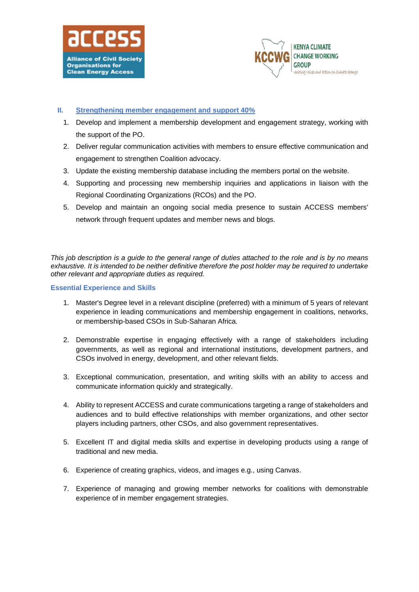



### **II. Strengthening member engagement and support 40%**

- 1. Develop and implement a membership development and engagement strategy, working with the support of the PO.
- 2. Deliver regular communication activities with members to ensure effective communication and engagement to strengthen Coalition advocacy.
- 3. Update the existing membership database including the members portal on the website.
- 4. Supporting and processing new membership inquiries and applications in liaison with the Regional Coordinating Organizations (RCOs) and the PO.
- 5. Develop and maintain an ongoing social media presence to sustain ACCESS members' network through frequent updates and member news and blogs.

*This job description is a guide to the general range of duties attached to the role and is by no means exhaustive. It is intended to be neither definitive therefore the post holder may be required to undertake other relevant and appropriate duties as required.*

#### **Essential Experience and Skills**

- 1. Master's Degree level in a relevant discipline (preferred) with a minimum of 5 years of relevant experience in leading communications and membership engagement in coalitions, networks, or membership-based CSOs in Sub-Saharan Africa.
- 2. Demonstrable expertise in engaging effectively with a range of stakeholders including governments, as well as regional and international institutions, development partners, and CSOs involved in energy, development, and other relevant fields.
- 3. Exceptional communication, presentation, and writing skills with an ability to access and communicate information quickly and strategically.
- 4. Ability to represent ACCESS and curate communications targeting a range of stakeholders and audiences and to build effective relationships with member organizations, and other sector players including partners, other CSOs, and also government representatives.
- 5. Excellent IT and digital media skills and expertise in developing products using a range of traditional and new media.
- 6. Experience of creating graphics, videos, and images e.g., using Canvas.
- 7. Experience of managing and growing member networks for coalitions with demonstrable experience of in member engagement strategies.